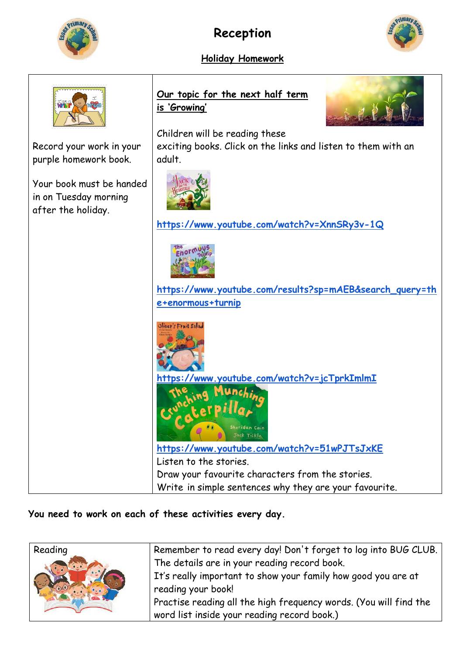

## **Reception**

**Holiday Homework** 



## **Our topic for the next half term is 'Growing'** Children will be reading these exciting books. Click on the links and listen to them with an Record your work in your purple homework book. adult. Your book must be handed in on Tuesday morning after the holiday. **<https://www.youtube.com/watch?v=XnnSRy3v-1Q>** Enor **[https://www.youtube.com/results?sp=mAEB&search\\_query=th](https://www.youtube.com/results?sp=mAEB&search_query=the+enormous+turnip) [e+enormous+turnip](https://www.youtube.com/results?sp=mAEB&search_query=the+enormous+turnip)** iver's Fruit Salad **<https://www.youtube.com/watch?v=jcTprkImlmI> <https://www.youtube.com/watch?v=51wPJTsJxKE>** Listen to the stories. Draw your favourite characters from the stories. Write in simple sentences why they are your favourite.

## **You need to work on each of these activities every day.**

| Reading | Remember to read every day! Don't forget to log into BUG CLUB.    |
|---------|-------------------------------------------------------------------|
|         | The details are in your reading record book.                      |
|         | It's really important to show your family how good you are at     |
|         | reading your book!                                                |
|         | Practise reading all the high frequency words. (You will find the |
|         | word list inside your reading record book.)                       |